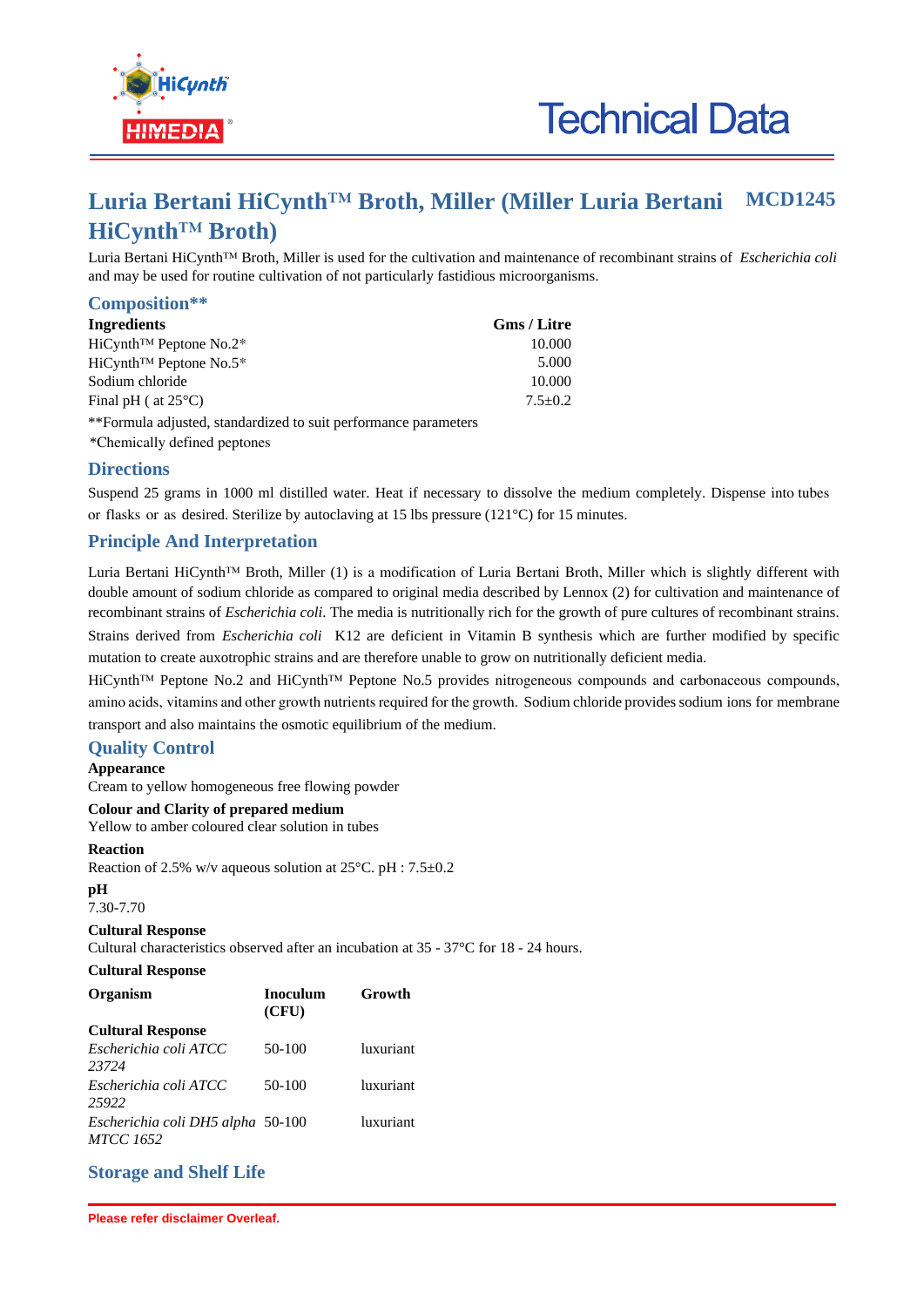

## **Luria Bertani HiCynth™ Broth, Miller (Miller Luria Bertani HiCynth™ Broth) MCD1245**

Luria Bertani HiCynth™ Broth, Miller is used for the cultivation and maintenance of recombinant strains of *Escherichia coli* and may be used for routine cultivation of not particularly fastidious microorganisms.

| Composition ***                                                 |               |
|-----------------------------------------------------------------|---------------|
| <b>Ingredients</b>                                              | Gms / Litre   |
| HiCynth <sup>™</sup> Peptone No.2 <sup>*</sup>                  | 10.000        |
| HiCynth <sup>™</sup> Peptone No.5 <sup>*</sup>                  | 5.000         |
| Sodium chloride                                                 | 10.000        |
| Final pH ( at $25^{\circ}$ C)                                   | $7.5 \pm 0.2$ |
| **Formula adjusted, standardized to suit performance parameters |               |
| *Chemically defined peptones                                    |               |

# **Directions**

**Composition\*\***

Suspend 25 grams in 1000 ml distilled water. Heat if necessary to dissolve the medium completely. Dispense into tubes or flasks or as desired. Sterilize by autoclaving at 15 lbs pressure (121°C) for 15 minutes.

# **Principle And Interpretation**

Luria Bertani HiCynth™ Broth, Miller (1) is a modification of Luria Bertani Broth, Miller which is slightly different with double amount of sodium chloride as compared to original media described by Lennox (2) for cultivation and maintenance of recombinant strains of *Escherichia coli*. The media is nutritionally rich for the growth of pure cultures of recombinant strains. Strains derived from *Escherichia coli* K12 are deficient in Vitamin B synthesis which are further modified by specific mutation to create auxotrophic strains and are therefore unable to grow on nutritionally deficient media.

HiCynth™ Peptone No.2 and HiCynth™ Peptone No.5 provides nitrogeneous compounds and carbonaceous compounds, amino acids, vitamins and other growth nutrients required for the growth. Sodium chloride provides sodium ions for membrane transport and also maintains the osmotic equilibrium of the medium.

# **Quality Control**

## **Appearance**

Cream to yellow homogeneous free flowing powder

#### **Colour and Clarity of prepared medium**

Yellow to amber coloured clear solution in tubes

## **Reaction**

Reaction of 2.5% w/v aqueous solution at 25°C. pH : 7.5±0.2

## **pH**

7.30-7.70

## **Cultural Response**

Cultural characteristics observed after an incubation at 35 - 37°C for 18 - 24 hours.

## **Cultural Response**

| Organism                                              | Inoculum<br>(CFU) | Growth    |
|-------------------------------------------------------|-------------------|-----------|
| <b>Cultural Response</b>                              |                   |           |
| Escherichia coli ATCC<br>23724                        | $50-100$          | luxuriant |
| Escherichia coli ATCC<br>25922                        | $50-100$          | luxuriant |
| Escherichia coli DH5 alpha 50-100<br><b>MTCC</b> 1652 |                   | luxuriant |

# **Storage and Shelf Life**